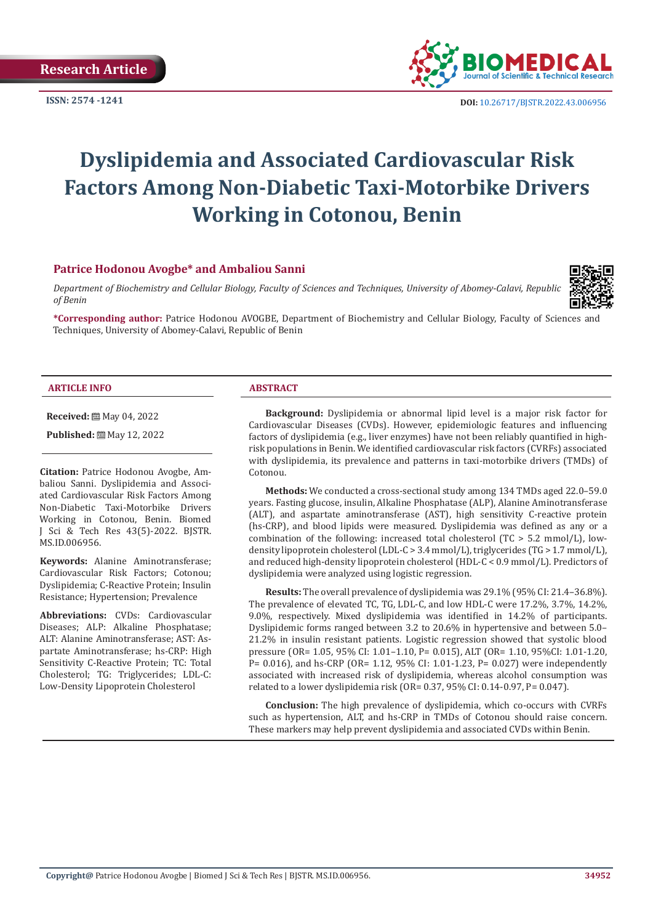

**ISSN:** 2574 -1241 **DOI:** [10.26717/BJSTR.2022.43.006956](https://dx.doi.org/10.26717/BJSTR.2022.43.006956)

# **Dyslipidemia and Associated Cardiovascular Risk Factors Among Non-Diabetic Taxi-Motorbike Drivers Working in Cotonou, Benin**

# **Patrice Hodonou Avogbe\* and Ambaliou Sanni**

*Department of Biochemistry and Cellular Biology, Faculty of Sciences and Techniques, University of Abomey-Calavi, Republic of Benin*



**\*Corresponding author:** Patrice Hodonou AVOGBE, Department of Biochemistry and Cellular Biology, Faculty of Sciences and Techniques, University of Abomey-Calavi, Republic of Benin

#### **ARTICLE INFO ABSTRACT**

**Received:** ■ May 04, 2022

Published: <sup>[26]</sup> May 12, 2022

**Citation:** Patrice Hodonou Avogbe, Ambaliou Sanni. Dyslipidemia and Associated Cardiovascular Risk Factors Among Non-Diabetic Taxi-Motorbike Drivers Working in Cotonou, Benin. Biomed J Sci & Tech Res 43(5)-2022. BJSTR. MS.ID.006956.

**Keywords:** Alanine Aminotransferase; Cardiovascular Risk Factors; Cotonou; Dyslipidemia; C-Reactive Protein; Insulin Resistance; Hypertension; Prevalence

**Abbreviations:** CVDs: Cardiovascular Diseases; ALP: Alkaline Phosphatase; ALT: Alanine Aminotransferase; AST: Aspartate Aminotransferase; hs-CRP: High Sensitivity C-Reactive Protein; TC: Total Cholesterol; TG: Triglycerides; LDL-C: Low-Density Lipoprotein Cholesterol

**Background:** Dyslipidemia or abnormal lipid level is a major risk factor for Cardiovascular Diseases (CVDs). However, epidemiologic features and influencing factors of dyslipidemia (e.g., liver enzymes) have not been reliably quantified in highrisk populations in Benin. We identified cardiovascular risk factors (CVRFs) associated with dyslipidemia, its prevalence and patterns in taxi-motorbike drivers (TMDs) of Cotonou.

**Methods:** We conducted a cross-sectional study among 134 TMDs aged 22.0–59.0 years. Fasting glucose, insulin, Alkaline Phosphatase (ALP), Alanine Aminotransferase (ALT), and aspartate aminotransferase (AST), high sensitivity C-reactive protein (hs-CRP), and blood lipids were measured. Dyslipidemia was defined as any or a combination of the following: increased total cholesterol (TC  $> 5.2$  mmol/L), lowdensity lipoprotein cholesterol (LDL-C > 3.4 mmol/L), triglycerides (TG > 1.7 mmol/L), and reduced high-density lipoprotein cholesterol (HDL-C < 0.9 mmol/L). Predictors of dyslipidemia were analyzed using logistic regression.

**Results:** The overall prevalence of dyslipidemia was 29.1% (95% CI: 21.4–36.8%). The prevalence of elevated TC, TG, LDL-C, and low HDL-C were 17.2%, 3.7%, 14.2%, 9.0%, respectively. Mixed dyslipidemia was identified in 14.2% of participants. Dyslipidemic forms ranged between 3.2 to 20.6% in hypertensive and between 5.0– 21.2% in insulin resistant patients. Logistic regression showed that systolic blood pressure (OR= 1.05, 95% CI: 1.01–1.10, P= 0.015), ALT (OR= 1.10, 95%CI: 1.01-1.20, P= 0.016), and hs-CRP (OR= 1.12, 95% CI: 1.01-1.23, P= 0.027) were independently associated with increased risk of dyslipidemia, whereas alcohol consumption was related to a lower dyslipidemia risk (OR= 0.37, 95% CI: 0.14-0.97, P= 0.047).

**Conclusion:** The high prevalence of dyslipidemia, which co-occurs with CVRFs such as hypertension, ALT, and hs-CRP in TMDs of Cotonou should raise concern. These markers may help prevent dyslipidemia and associated CVDs within Benin.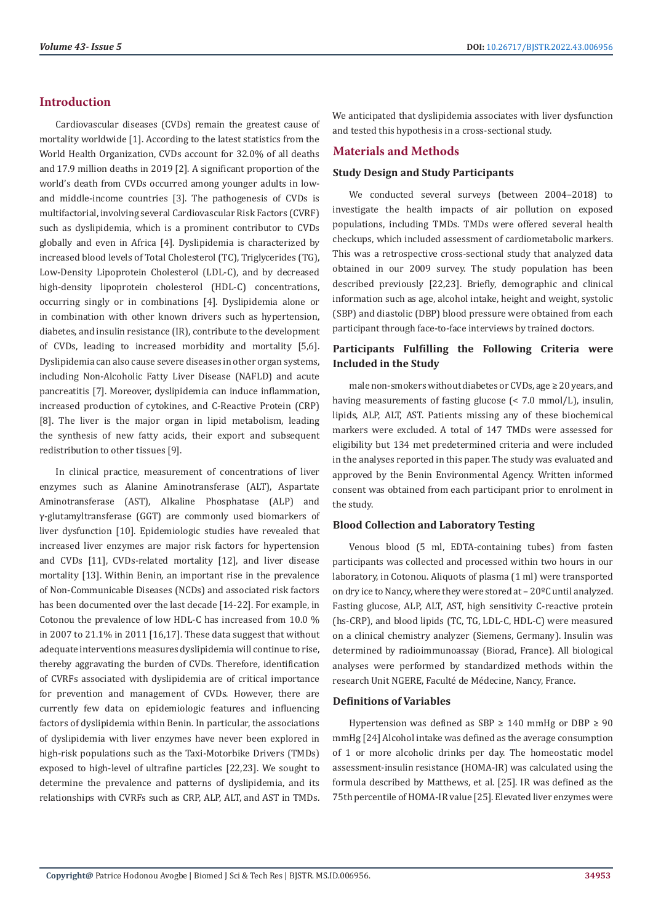# **Introduction**

Cardiovascular diseases (CVDs) remain the greatest cause of mortality worldwide [1]. According to the latest statistics from the World Health Organization, CVDs account for 32.0% of all deaths and 17.9 million deaths in 2019 [2]. A significant proportion of the world's death from CVDs occurred among younger adults in lowand middle-income countries [3]. The pathogenesis of CVDs is multifactorial, involving several Cardiovascular Risk Factors (CVRF) such as dyslipidemia, which is a prominent contributor to CVDs globally and even in Africa [4]. Dyslipidemia is characterized by increased blood levels of Total Cholesterol (TC), Triglycerides (TG), Low-Density Lipoprotein Cholesterol (LDL-C), and by decreased high-density lipoprotein cholesterol (HDL-C) concentrations, occurring singly or in combinations [4]. Dyslipidemia alone or in combination with other known drivers such as hypertension, diabetes, and insulin resistance (IR), contribute to the development of CVDs, leading to increased morbidity and mortality [5,6]. Dyslipidemia can also cause severe diseases in other organ systems, including Non-Alcoholic Fatty Liver Disease (NAFLD) and acute pancreatitis [7]. Moreover, dyslipidemia can induce inflammation, increased production of cytokines, and C-Reactive Protein (CRP) [8]. The liver is the major organ in lipid metabolism, leading the synthesis of new fatty acids, their export and subsequent redistribution to other tissues [9].

In clinical practice, measurement of concentrations of liver enzymes such as Alanine Aminotransferase (ALT), Aspartate Aminotransferase (AST), Alkaline Phosphatase (ALP) and γ-glutamyltransferase (GGT) are commonly used biomarkers of liver dysfunction [10]. Epidemiologic studies have revealed that increased liver enzymes are major risk factors for hypertension and CVDs [11], CVDs-related mortality [12], and liver disease mortality [13]. Within Benin, an important rise in the prevalence of Non-Communicable Diseases (NCDs) and associated risk factors has been documented over the last decade [14-22]. For example, in Cotonou the prevalence of low HDL-C has increased from 10.0 % in 2007 to 21.1% in 2011 [16,17]. These data suggest that without adequate interventions measures dyslipidemia will continue to rise, thereby aggravating the burden of CVDs. Therefore, identification of CVRFs associated with dyslipidemia are of critical importance for prevention and management of CVDs. However, there are currently few data on epidemiologic features and influencing factors of dyslipidemia within Benin. In particular, the associations of dyslipidemia with liver enzymes have never been explored in high-risk populations such as the Taxi-Motorbike Drivers (TMDs) exposed to high-level of ultrafine particles [22,23]. We sought to determine the prevalence and patterns of dyslipidemia, and its relationships with CVRFs such as CRP, ALP, ALT, and AST in TMDs.

We anticipated that dyslipidemia associates with liver dysfunction and tested this hypothesis in a cross-sectional study.

# **Materials and Methods**

### **Study Design and Study Participants**

We conducted several surveys (between 2004–2018) to investigate the health impacts of air pollution on exposed populations, including TMDs. TMDs were offered several health checkups, which included assessment of cardiometabolic markers. This was a retrospective cross-sectional study that analyzed data obtained in our 2009 survey. The study population has been described previously [22,23]. Briefly, demographic and clinical information such as age, alcohol intake, height and weight, systolic (SBP) and diastolic (DBP) blood pressure were obtained from each participant through face-to-face interviews by trained doctors.

# **Participants Fulfilling the Following Criteria were Included in the Study**

male non-smokers without diabetes or CVDs, age ≥ 20 years, and having measurements of fasting glucose (< 7.0 mmol/L), insulin, lipids, ALP, ALT, AST. Patients missing any of these biochemical markers were excluded. A total of 147 TMDs were assessed for eligibility but 134 met predetermined criteria and were included in the analyses reported in this paper. The study was evaluated and approved by the Benin Environmental Agency. Written informed consent was obtained from each participant prior to enrolment in the study.

#### **Blood Collection and Laboratory Testing**

Venous blood (5 ml, EDTA-containing tubes) from fasten participants was collected and processed within two hours in our laboratory, in Cotonou. Aliquots of plasma (1 ml) were transported on dry ice to Nancy, where they were stored at – 20ºC until analyzed. Fasting glucose, ALP, ALT, AST, high sensitivity C-reactive protein (hs-CRP), and blood lipids (TC, TG, LDL-C, HDL-C) were measured on a clinical chemistry analyzer (Siemens, Germany). Insulin was determined by radioimmunoassay (Biorad, France). All biological analyses were performed by standardized methods within the research Unit NGERE, Faculté de Médecine, Nancy, France.

#### **Definitions of Variables**

Hypertension was defined as SBP  $\geq$  140 mmHg or DBP  $\geq$  90 mmHg [24] Alcohol intake was defined as the average consumption of 1 or more alcoholic drinks per day. The homeostatic model assessment-insulin resistance (HOMA-IR) was calculated using the formula described by Matthews, et al. [25]. IR was defined as the 75th percentile of HOMA-IR value [25]. Elevated liver enzymes were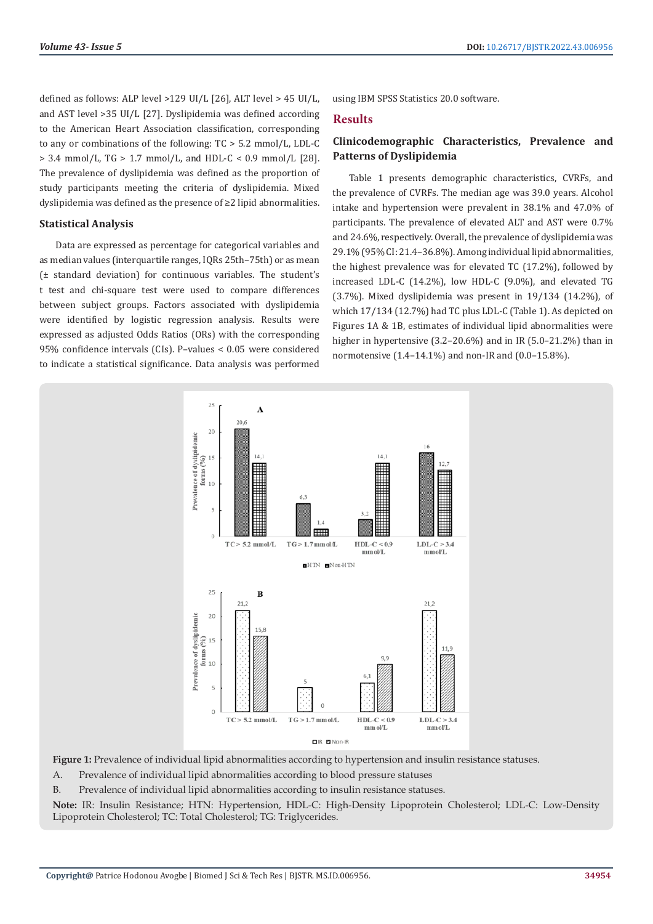defined as follows: ALP level >129 UI/L [26], ALT level > 45 UI/L, and AST level >35 UI/L [27]. Dyslipidemia was defined according to the American Heart Association classification, corresponding to any or combinations of the following: TC > 5.2 mmol/L, LDL-C  $> 3.4$  mmol/L, TG  $> 1.7$  mmol/L, and HDL-C  $< 0.9$  mmol/L [28]. The prevalence of dyslipidemia was defined as the proportion of study participants meeting the criteria of dyslipidemia. Mixed dyslipidemia was defined as the presence of ≥2 lipid abnormalities.

### **Statistical Analysis**

Data are expressed as percentage for categorical variables and as median values (interquartile ranges, IQRs 25th–75th) or as mean (± standard deviation) for continuous variables. The student's t test and chi-square test were used to compare differences between subject groups. Factors associated with dyslipidemia were identified by logistic regression analysis. Results were expressed as adjusted Odds Ratios (ORs) with the corresponding 95% confidence intervals (CIs). P–values < 0.05 were considered to indicate a statistical significance. Data analysis was performed

using IBM SPSS Statistics 20.0 software.

### **Results**

# **Clinicodemographic Characteristics, Prevalence and Patterns of Dyslipidemia**

Table 1 presents demographic characteristics, CVRFs, and the prevalence of CVRFs. The median age was 39.0 years. Alcohol intake and hypertension were prevalent in 38.1% and 47.0% of participants. The prevalence of elevated ALT and AST were 0.7% and 24.6%, respectively. Overall, the prevalence of dyslipidemia was 29.1% (95% CI: 21.4–36.8%). Among individual lipid abnormalities, the highest prevalence was for elevated TC (17.2%), followed by increased LDL-C (14.2%), low HDL-C (9.0%), and elevated TG (3.7%). Mixed dyslipidemia was present in 19/134 (14.2%), of which 17/134 (12.7%) had TC plus LDL-C (Table 1). As depicted on Figures 1A & 1B, estimates of individual lipid abnormalities were higher in hypertensive (3.2–20.6%) and in IR (5.0–21.2%) than in normotensive (1.4–14.1%) and non-IR and (0.0–15.8%).



**Figure 1:** Prevalence of individual lipid abnormalities according to hypertension and insulin resistance statuses.

A. Prevalence of individual lipid abnormalities according to blood pressure statuses

B. Prevalence of individual lipid abnormalities according to insulin resistance statuses.

**Note:** IR: Insulin Resistance; HTN: Hypertension, HDL-C: High-Density Lipoprotein Cholesterol; LDL-C: Low-Density Lipoprotein Cholesterol; TC: Total Cholesterol; TG: Triglycerides.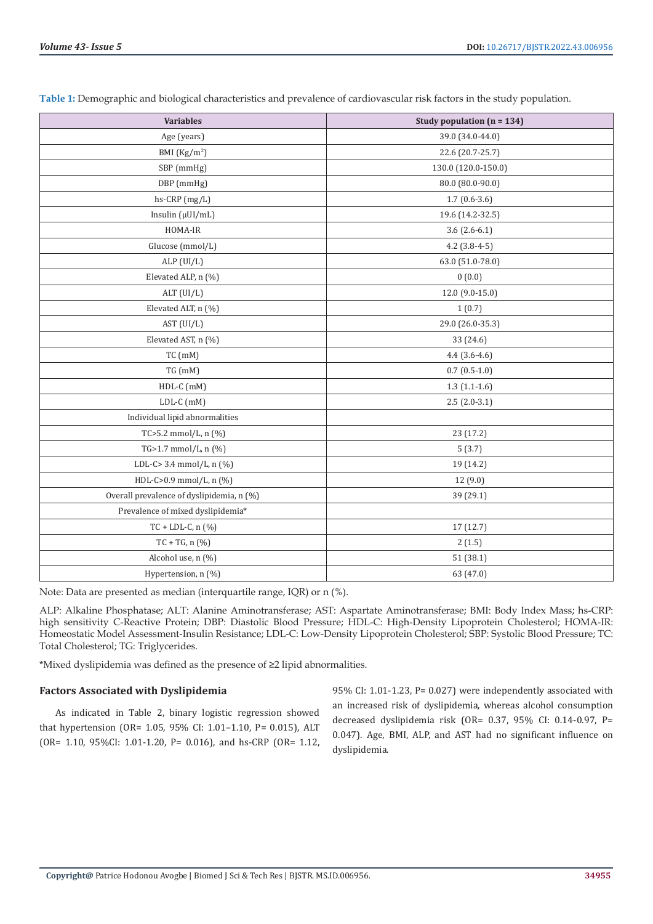| <b>Variables</b>                          | Study population ( $n = 134$ ) |  |  |  |
|-------------------------------------------|--------------------------------|--|--|--|
| Age (years)                               | 39.0 (34.0-44.0)               |  |  |  |
| BMI $(Kg/m2)$                             | 22.6 (20.7-25.7)               |  |  |  |
| SBP (mmHg)                                | 130.0 (120.0-150.0)            |  |  |  |
| DBP (mmHg)                                | 80.0 (80.0-90.0)               |  |  |  |
| hs-CRP (mg/L)                             | $1.7(0.6-3.6)$                 |  |  |  |
| Insulin $(\mu U I/mL)$                    | 19.6 (14.2-32.5)               |  |  |  |
| HOMA-IR                                   | $3.6(2.6-6.1)$                 |  |  |  |
| Glucose (mmol/L)                          | $4.2$ (3.8-4-5)                |  |  |  |
| ALP (UI/L)                                | 63.0 (51.0-78.0)               |  |  |  |
| Elevated ALP, n (%)                       | 0(0.0)                         |  |  |  |
| ALT (UI/L)                                | 12.0 (9.0-15.0)                |  |  |  |
| Elevated ALT, n (%)                       | 1(0.7)                         |  |  |  |
| AST (UI/L)                                | 29.0 (26.0-35.3)               |  |  |  |
| Elevated AST, n (%)                       | 33 (24.6)                      |  |  |  |
| $TC$ (mM)                                 | $4.4(3.6-4.6)$                 |  |  |  |
| $TG$ (mM)                                 | $0.7(0.5-1.0)$                 |  |  |  |
| HDL-C (mM)                                | $1.3(1.1-1.6)$                 |  |  |  |
| LDL-C (mM)                                | $2.5(2.0-3.1)$                 |  |  |  |
| Individual lipid abnormalities            |                                |  |  |  |
| TC>5.2 mmol/L, $n$ (%)                    | 23 (17.2)                      |  |  |  |
| TG>1.7 mmol/L, n (%)                      | 5(3.7)                         |  |  |  |
| LDL-C> 3.4 mmol/L, n (%)                  | 19 (14.2)                      |  |  |  |
| HDL-C>0.9 mmol/L, n (%)                   | 12 (9.0)                       |  |  |  |
| Overall prevalence of dyslipidemia, n (%) | 39 (29.1)                      |  |  |  |
| Prevalence of mixed dyslipidemia*         |                                |  |  |  |
| $TC + LDL-C, n (%)$                       | 17 (12.7)                      |  |  |  |
| $TC + TG, n (%)$                          | 2(1.5)                         |  |  |  |
| Alcohol use, n (%)<br>51 (38.1)           |                                |  |  |  |
| Hypertension, n (%)                       | 63 (47.0)                      |  |  |  |

**Table 1:** Demographic and biological characteristics and prevalence of cardiovascular risk factors in the study population.

Note: Data are presented as median (interquartile range, IQR) or n (%).

ALP: Alkaline Phosphatase; ALT: Alanine Aminotransferase; AST: Aspartate Aminotransferase; BMI: Body Index Mass; hs-CRP: high sensitivity C-Reactive Protein; DBP: Diastolic Blood Pressure; HDL-C: High-Density Lipoprotein Cholesterol; HOMA-IR: Homeostatic Model Assessment-Insulin Resistance; LDL-C: Low-Density Lipoprotein Cholesterol; SBP: Systolic Blood Pressure; TC: Total Cholesterol; TG: Triglycerides.

\*Mixed dyslipidemia was defined as the presence of ≥2 lipid abnormalities.

# **Factors Associated with Dyslipidemia**

As indicated in Table 2, binary logistic regression showed that hypertension (OR= 1.05, 95% CI: 1.01–1.10, P= 0.015), ALT (OR= 1.10, 95%CI: 1.01-1.20, P= 0.016), and hs-CRP (OR= 1.12, 95% CI: 1.01-1.23, P= 0.027) were independently associated with an increased risk of dyslipidemia, whereas alcohol consumption decreased dyslipidemia risk (OR= 0.37, 95% CI: 0.14-0.97, P= 0.047). Age, BMI, ALP, and AST had no significant influence on dyslipidemia.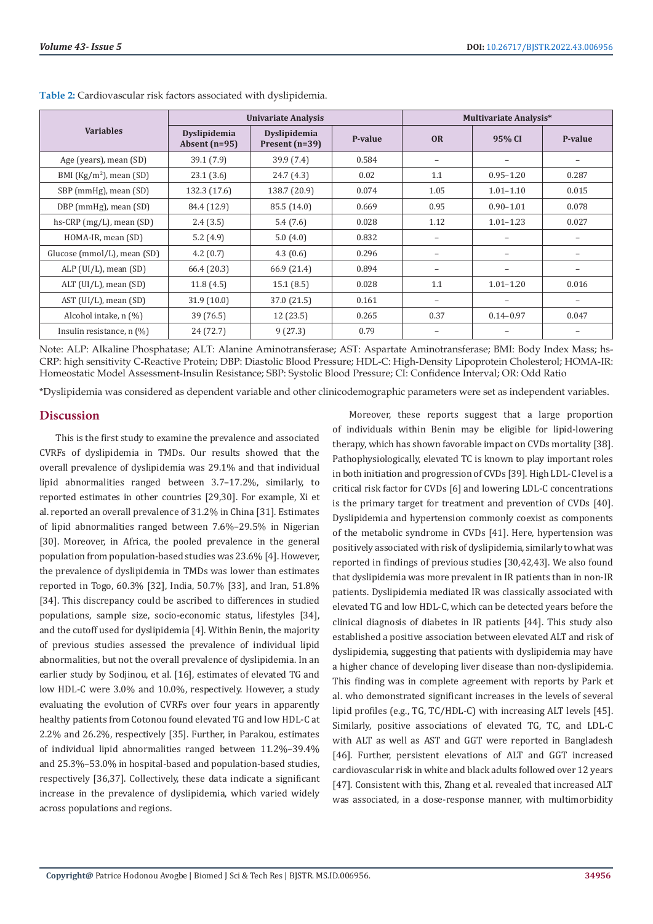|                                    | <b>Univariate Analysis</b>      |                                  |         | <b>Multivariate Analysis*</b> |               |         |
|------------------------------------|---------------------------------|----------------------------------|---------|-------------------------------|---------------|---------|
| <b>Variables</b>                   | Dyslipidemia<br>Absent $(n=95)$ | Dyslipidemia<br>Present $(n=39)$ | P-value | <b>OR</b>                     | 95% CI        | P-value |
| Age (years), mean (SD)             | 39.1 (7.9)                      | 39.9(7.4)                        | 0.584   |                               |               | -       |
| BMI ( $\text{Kg/m}^2$ ), mean (SD) | 23.1(3.6)                       | 24.7(4.3)                        | 0.02    | 1.1                           | $0.95 - 1.20$ | 0.287   |
| SBP (mmHg), mean (SD)              | 132.3 (17.6)                    | 138.7 (20.9)                     | 0.074   | 1.05                          | $1.01 - 1.10$ | 0.015   |
| DBP (mmHg), mean (SD)              | 84.4 (12.9)                     | 85.5 (14.0)                      | 0.669   | 0.95                          | $0.90 - 1.01$ | 0.078   |
| hs-CRP $(mg/L)$ , mean $(SD)$      | 2.4(3.5)                        | 5.4(7.6)                         | 0.028   | 1.12                          | $1.01 - 1.23$ | 0.027   |
| HOMA-IR, mean (SD)                 | 5.2(4.9)                        | 5.0(4.0)                         | 0.832   |                               |               |         |
| Glucose (mmol/L), mean (SD)        | 4.2(0.7)                        | 4.3(0.6)                         | 0.296   |                               |               |         |
| ALP $(UI/L)$ , mean $(SD)$         | 66.4 (20.3)                     | 66.9 (21.4)                      | 0.894   |                               | -             |         |
| ALT (UI/L), mean (SD)              | 11.8(4.5)                       | 15.1(8.5)                        | 0.028   | 1.1                           | $1.01 - 1.20$ | 0.016   |
| AST (UI/L), mean (SD)              | 31.9(10.0)                      | 37.0 (21.5)                      | 0.161   |                               |               | -       |
| Alcohol intake, n (%)              | 39 (76.5)                       | 12(23.5)                         | 0.265   | 0.37                          | $0.14 - 0.97$ | 0.047   |
| Insulin resistance, $n$ $(\%)$     | 24 (72.7)                       | 9(27.3)                          | 0.79    |                               |               |         |

**Table 2:** Cardiovascular risk factors associated with dyslipidemia.

Note: ALP: Alkaline Phosphatase; ALT: Alanine Aminotransferase; AST: Aspartate Aminotransferase; BMI: Body Index Mass; hs-CRP: high sensitivity C-Reactive Protein; DBP: Diastolic Blood Pressure; HDL-C: High-Density Lipoprotein Cholesterol; HOMA-IR: Homeostatic Model Assessment-Insulin Resistance; SBP: Systolic Blood Pressure; CI: Confidence Interval; OR: Odd Ratio

\*Dyslipidemia was considered as dependent variable and other clinicodemographic parameters were set as independent variables.

## **Discussion**

This is the first study to examine the prevalence and associated CVRFs of dyslipidemia in TMDs. Our results showed that the overall prevalence of dyslipidemia was 29.1% and that individual lipid abnormalities ranged between 3.7–17.2%, similarly, to reported estimates in other countries [29,30]. For example, Xi et al. reported an overall prevalence of 31.2% in China [31]. Estimates of lipid abnormalities ranged between 7.6%–29.5% in Nigerian [30]. Moreover, in Africa, the pooled prevalence in the general population from population-based studies was 23.6% [4]. However, the prevalence of dyslipidemia in TMDs was lower than estimates reported in Togo, 60.3% [32], India, 50.7% [33], and Iran, 51.8% [34]. This discrepancy could be ascribed to differences in studied populations, sample size, socio-economic status, lifestyles [34], and the cutoff used for dyslipidemia [4]. Within Benin, the majority of previous studies assessed the prevalence of individual lipid abnormalities, but not the overall prevalence of dyslipidemia. In an earlier study by Sodjinou, et al. [16], estimates of elevated TG and low HDL-C were 3.0% and 10.0%, respectively. However, a study evaluating the evolution of CVRFs over four years in apparently healthy patients from Cotonou found elevated TG and low HDL-C at 2.2% and 26.2%, respectively [35]. Further, in Parakou, estimates of individual lipid abnormalities ranged between 11.2%–39.4% and 25.3%–53.0% in hospital-based and population-based studies, respectively [36,37]. Collectively, these data indicate a significant increase in the prevalence of dyslipidemia, which varied widely across populations and regions.

Moreover, these reports suggest that a large proportion of individuals within Benin may be eligible for lipid-lowering therapy, which has shown favorable impact on CVDs mortality [38]. Pathophysiologically, elevated TC is known to play important roles in both initiation and progression of CVDs [39]. High LDL-C level is a critical risk factor for CVDs [6] and lowering LDL-C concentrations is the primary target for treatment and prevention of CVDs [40]. Dyslipidemia and hypertension commonly coexist as components of the metabolic syndrome in CVDs [41]. Here, hypertension was positively associated with risk of dyslipidemia, similarly to what was reported in findings of previous studies [30,42,43]. We also found that dyslipidemia was more prevalent in IR patients than in non-IR patients. Dyslipidemia mediated IR was classically associated with elevated TG and low HDL-C, which can be detected years before the clinical diagnosis of diabetes in IR patients [44]. This study also established a positive association between elevated ALT and risk of dyslipidemia, suggesting that patients with dyslipidemia may have a higher chance of developing liver disease than non-dyslipidemia. This finding was in complete agreement with reports by Park et al. who demonstrated significant increases in the levels of several lipid profiles (e.g., TG, TC/HDL-C) with increasing ALT levels [45]. Similarly, positive associations of elevated TG, TC, and LDL-C with ALT as well as AST and GGT were reported in Bangladesh [46]. Further, persistent elevations of ALT and GGT increased cardiovascular risk in white and black adults followed over 12 years [47]. Consistent with this, Zhang et al. revealed that increased ALT was associated, in a dose-response manner, with multimorbidity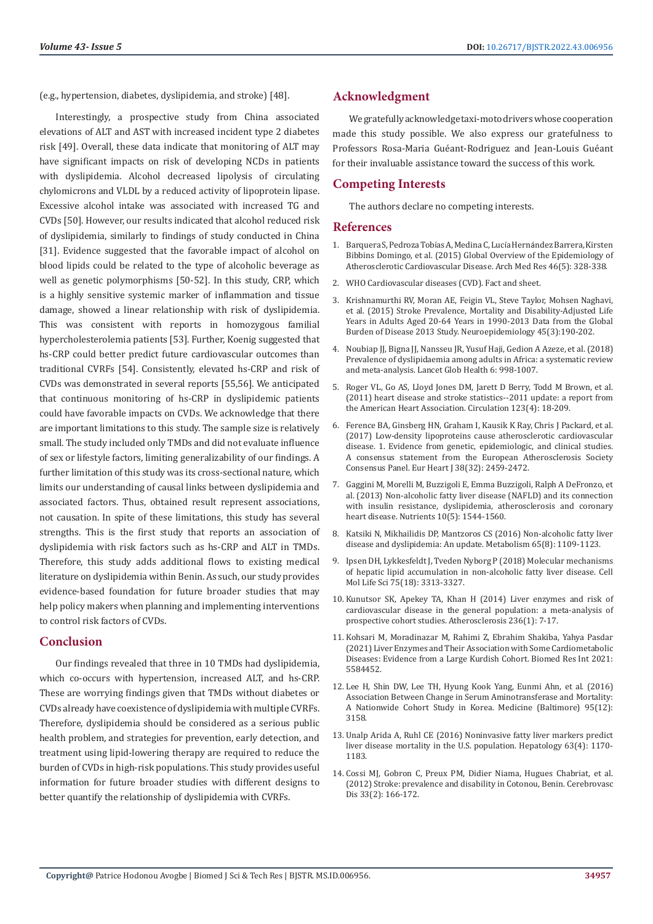(e.g., hypertension, diabetes, dyslipidemia, and stroke) [48].

Interestingly, a prospective study from China associated elevations of ALT and AST with increased incident type 2 diabetes risk [49]. Overall, these data indicate that monitoring of ALT may have significant impacts on risk of developing NCDs in patients with dyslipidemia. Alcohol decreased lipolysis of circulating chylomicrons and VLDL by a reduced activity of lipoprotein lipase. Excessive alcohol intake was associated with increased TG and CVDs [50]. However, our results indicated that alcohol reduced risk of dyslipidemia, similarly to findings of study conducted in China [31]. Evidence suggested that the favorable impact of alcohol on blood lipids could be related to the type of alcoholic beverage as well as genetic polymorphisms [50-52]. In this study, CRP, which is a highly sensitive systemic marker of inflammation and tissue damage, showed a linear relationship with risk of dyslipidemia. This was consistent with reports in homozygous familial hypercholesterolemia patients [53]. Further, Koenig suggested that hs-CRP could better predict future cardiovascular outcomes than traditional CVRFs [54]. Consistently, elevated hs-CRP and risk of CVDs was demonstrated in several reports [55,56]. We anticipated that continuous monitoring of hs-CRP in dyslipidemic patients could have favorable impacts on CVDs. We acknowledge that there are important limitations to this study. The sample size is relatively small. The study included only TMDs and did not evaluate influence of sex or lifestyle factors, limiting generalizability of our findings. A further limitation of this study was its cross-sectional nature, which limits our understanding of causal links between dyslipidemia and associated factors. Thus, obtained result represent associations, not causation. In spite of these limitations, this study has several strengths. This is the first study that reports an association of dyslipidemia with risk factors such as hs-CRP and ALT in TMDs. Therefore, this study adds additional flows to existing medical literature on dyslipidemia within Benin. As such, our study provides evidence-based foundation for future broader studies that may help policy makers when planning and implementing interventions to control risk factors of CVDs.

# **Conclusion**

Our findings revealed that three in 10 TMDs had dyslipidemia, which co-occurs with hypertension, increased ALT, and hs-CRP. These are worrying findings given that TMDs without diabetes or CVDs already have coexistence of dyslipidemia with multiple CVRFs. Therefore, dyslipidemia should be considered as a serious public health problem, and strategies for prevention, early detection, and treatment using lipid-lowering therapy are required to reduce the burden of CVDs in high-risk populations. This study provides useful information for future broader studies with different designs to better quantify the relationship of dyslipidemia with CVRFs.

# **Acknowledgment**

We gratefully acknowledge taxi-moto drivers whose cooperation made this study possible. We also express our gratefulness to Professors Rosa-Maria Guéant-Rodriguez and Jean-Louis Guéant for their invaluable assistance toward the success of this work.

# **Competing Interests**

The authors declare no competing interests.

### **References**

- 1. [Barquera S, Pedroza Tob](https://pubmed.ncbi.nlm.nih.gov/26135634/)ías A, Medina C, Lucía Hernández Barrera, Kirsten [Bibbins Domingo, et al. \(2015\) Global Overview of the Epidemiology of](https://pubmed.ncbi.nlm.nih.gov/26135634/) [Atherosclerotic Cardiovascular Disease. Arch Med Res 46\(5\): 328-338.](https://pubmed.ncbi.nlm.nih.gov/26135634/)
- 2. WHO Cardiovascular diseases (CVD). Fact and sheet.
- 3. [Krishnamurthi RV, Moran AE, Feigin VL, Steve Taylor, Mohsen Naghavi,](https://pubmed.ncbi.nlm.nih.gov/26505983/) [et al. \(2015\) Stroke Prevalence, Mortality and Disability-Adjusted Life](https://pubmed.ncbi.nlm.nih.gov/26505983/) [Years in Adults Aged 20-64 Years in 1990-2013 Data from the Global](https://pubmed.ncbi.nlm.nih.gov/26505983/) [Burden of Disease 2013 Study. Neuroepidemiology 45\(3\):190-202.](https://pubmed.ncbi.nlm.nih.gov/26505983/)
- 4. [Noubiap JJ, Bigna JJ, Nansseu JR, Yusuf Haji, Gedion A Azeze, et al. \(2018\)](https://www.frontiersin.org/articles/10.3389/fcvm.2021.778891/full) [Prevalence of dyslipidaemia among adults in Africa: a systematic review](https://www.frontiersin.org/articles/10.3389/fcvm.2021.778891/full) [and meta-analysis. Lancet Glob Health 6: 998-1007](https://www.frontiersin.org/articles/10.3389/fcvm.2021.778891/full).
- 5. [Roger VL, Go AS, Lloyd Jones DM, Jarett D Berry, Todd M Brown, et al.](https://pubmed.ncbi.nlm.nih.gov/21160056/) [\(2011\) heart disease and stroke statistics--2011 update: a report from](https://pubmed.ncbi.nlm.nih.gov/21160056/) [the American Heart Association. Circulation 123\(4\): 18-209.](https://pubmed.ncbi.nlm.nih.gov/21160056/)
- 6. [Ference BA, Ginsberg HN, Graham I, Kausik K Ray, Chris J Packard, et al.](https://pubmed.ncbi.nlm.nih.gov/28444290/) [\(2017\) Low-density lipoproteins cause atherosclerotic cardiovascular](https://pubmed.ncbi.nlm.nih.gov/28444290/) [disease. 1. Evidence from genetic, epidemiologic, and clinical studies.](https://pubmed.ncbi.nlm.nih.gov/28444290/) [A consensus statement from the European Atherosclerosis Society](https://pubmed.ncbi.nlm.nih.gov/28444290/) [Consensus Panel. Eur Heart J 38\(32\): 2459-2472.](https://pubmed.ncbi.nlm.nih.gov/28444290/)
- 7. [Gaggini M, Morelli M, Buzzigoli E, Emma Buzzigoli, Ralph A DeFronzo, et](https://pubmed.ncbi.nlm.nih.gov/23666091/) [al. \(2013\) Non-alcoholic fatty liver disease \(NAFLD\) and its connection](https://pubmed.ncbi.nlm.nih.gov/23666091/) [with insulin resistance, dyslipidemia, atherosclerosis and coronary](https://pubmed.ncbi.nlm.nih.gov/23666091/) [heart disease. Nutrients 10\(5\): 1544-1560.](https://pubmed.ncbi.nlm.nih.gov/23666091/)
- 8. Katsiki N, Mikhailidis DP, Mantzoros CS (2016) Non-alcoholic fatty liver disease and dyslipidemia: An update. Metabolism 65(8): 1109-1123.
- 9. [Ipsen DH, Lykkesfeldt J, Tveden Nyborg P \(2018\) Molecular mechanisms](https://pubmed.ncbi.nlm.nih.gov/29936596/) [of hepatic lipid accumulation in non-alcoholic fatty liver disease. Cell](https://pubmed.ncbi.nlm.nih.gov/29936596/) [Mol Life Sci 75\(18\): 3313-3327.](https://pubmed.ncbi.nlm.nih.gov/29936596/)
- 10. [Kunutsor SK, Apekey TA, Khan H \(2014\) Liver enzymes and risk of](https://pubmed.ncbi.nlm.nih.gov/24998934/) [cardiovascular disease in the general population: a meta-analysis of](https://pubmed.ncbi.nlm.nih.gov/24998934/) [prospective cohort studies. Atherosclerosis 236\(1\): 7-17.](https://pubmed.ncbi.nlm.nih.gov/24998934/)
- 11. [Kohsari M, Moradinazar M, Rahimi Z, Ebrahim Shakiba, Yahya Pasdar](https://pubmed.ncbi.nlm.nih.gov/34235221/) [\(2021\) Liver Enzymes and Their Association with Some Cardiometabolic](https://pubmed.ncbi.nlm.nih.gov/34235221/) [Diseases: Evidence from a Large Kurdish Cohort. Biomed Res Int 2021:](https://pubmed.ncbi.nlm.nih.gov/34235221/) [5584452.](https://pubmed.ncbi.nlm.nih.gov/34235221/)
- 12. [Lee H, Shin DW, Lee TH, Hyung Kook Yang, Eunmi Ahn, et al. \(2016\)](https://pubmed.ncbi.nlm.nih.gov/27015199/) [Association Between Change in Serum Aminotransferase and Mortality:](https://pubmed.ncbi.nlm.nih.gov/27015199/) [A Nationwide Cohort Study in Korea. Medicine \(Baltimore\) 95\(12\):](https://pubmed.ncbi.nlm.nih.gov/27015199/) [3158.](https://pubmed.ncbi.nlm.nih.gov/27015199/)
- 13. [Unalp Arida A, Ruhl CE \(2016\) Noninvasive fatty liver markers predict](https://pubmed.ncbi.nlm.nih.gov/26663021/) [liver disease mortality in the U.S. population. Hepatology 63\(4\): 1170-](https://pubmed.ncbi.nlm.nih.gov/26663021/) [1183.](https://pubmed.ncbi.nlm.nih.gov/26663021/)
- 14. Cossi MJ, Gobron C, Preux PM, Didier Niama, Hugues Chabriat, et al. (2012) Stroke: prevalence and disability in Cotonou, Benin. Cerebrovasc Dis 33(2): 166-172.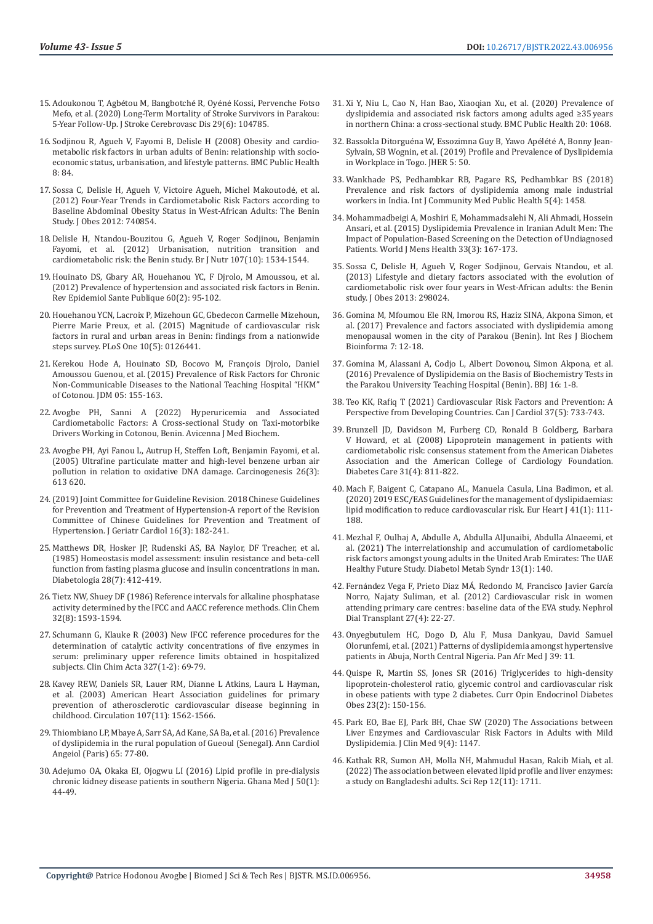- 15. Adoukonou T, Agbétou M, Bangbotché R, Oyéné [Kossi, Pervenche Fotso](https://pubmed.ncbi.nlm.nih.gov/32199774/)  [Mefo, et al. \(2020\) Long-Term Mortality of Stroke Survivors in Parakou:](https://pubmed.ncbi.nlm.nih.gov/32199774/)  [5-Year Follow-Up. J Stroke Cerebrovasc Dis 29\(6\): 104785.](https://pubmed.ncbi.nlm.nih.gov/32199774/)
- 16. [Sodjinou R, Agueh V, Fayomi B, Delisle H \(2008\) Obesity and cardio](https://pubmed.ncbi.nlm.nih.gov/18318907/)[metabolic risk factors in urban adults of Benin: relationship with socio](https://pubmed.ncbi.nlm.nih.gov/18318907/)[economic status, urbanisation, and lifestyle patterns. BMC Public Health](https://pubmed.ncbi.nlm.nih.gov/18318907/)  [8: 84.](https://pubmed.ncbi.nlm.nih.gov/18318907/)
- 17. [Sossa C, Delisle H, Agueh V, Victoire Agueh, Michel Makoutod](https://www.hindawi.com/journals/jobe/2012/740854/)é, et al. [\(2012\) Four-Year Trends in Cardiometabolic Risk Factors according to](https://www.hindawi.com/journals/jobe/2012/740854/)  [Baseline Abdominal Obesity Status in West-African Adults: The Benin](https://www.hindawi.com/journals/jobe/2012/740854/)  [Study. J Obes 2012: 740854.](https://www.hindawi.com/journals/jobe/2012/740854/)
- 18. [Delisle H, Ntandou-Bouzitou G, Agueh V, Roger Sodjinou, Benjamin](https://pubmed.ncbi.nlm.nih.gov/22115429/)  [Fayomi, et al. \(2012\) Urbanisation, nutrition transition and](https://pubmed.ncbi.nlm.nih.gov/22115429/)  [cardiometabolic risk: the Benin study. Br J Nutr 107\(10\): 1534-1544.](https://pubmed.ncbi.nlm.nih.gov/22115429/)
- 19. Houinato DS, Gbary AR, Houehanou YC, F Djrolo, M Amoussou, et al. (2012) Prevalence of hypertension and associated risk factors in Benin. Rev Epidemiol Sante Publique 60(2): 95-102.
- 20. [Houehanou YCN, Lacroix P, Mizehoun GC, Gbedecon Carmelle Mizehoun,](https://pubmed.ncbi.nlm.nih.gov/25945498/)  [Pierre Marie Preux, et al. \(2015\) Magnitude of cardiovascular risk](https://pubmed.ncbi.nlm.nih.gov/25945498/)  [factors in rural and urban areas in Benin: findings from a nationwide](https://pubmed.ncbi.nlm.nih.gov/25945498/)  [steps survey. PLoS One 10\(5\): 0126441.](https://pubmed.ncbi.nlm.nih.gov/25945498/)
- 21. [Kerekou Hode A, Houinato SD, Bocovo M, Fran](https://www.researchgate.net/publication/281733948_Prevalence_of_Risk_Factors_for_Chronic_Non-Communicable_Diseases_to_the_National_Teaching_Hospital_HKM_of_Cotonou)çois Djrolo, Daniel [Amoussou Guenou, et al. \(2015\) Prevalence of Risk Factors for Chronic](https://www.researchgate.net/publication/281733948_Prevalence_of_Risk_Factors_for_Chronic_Non-Communicable_Diseases_to_the_National_Teaching_Hospital_HKM_of_Cotonou)  [Non-Communicable Diseases to the National Teaching Hospital "HKM"](https://www.researchgate.net/publication/281733948_Prevalence_of_Risk_Factors_for_Chronic_Non-Communicable_Diseases_to_the_National_Teaching_Hospital_HKM_of_Cotonou)  [of Cotonou. JDM 05: 155-163.](https://www.researchgate.net/publication/281733948_Prevalence_of_Risk_Factors_for_Chronic_Non-Communicable_Diseases_to_the_National_Teaching_Hospital_HKM_of_Cotonou)
- 22. Avogbe PH, Sanni A (2022) Hyperuricemia and Associated Cardiometabolic Factors: A Cross-sectional Study on Taxi-motorbike Drivers Working in Cotonou, Benin. Avicenna J Med Biochem.
- 23. [Avogbe PH, Ayi Fanou L, Autrup H, Steffen Loft, Benjamin Fayomi, et al.](https://pubmed.ncbi.nlm.nih.gov/15591089/)  [\(2005\) Ultrafine particulate matter and high-level benzene urban air](https://pubmed.ncbi.nlm.nih.gov/15591089/)  [pollution in relation to oxidative DNA damage. Carcinogenesis 26\(3\):](https://pubmed.ncbi.nlm.nih.gov/15591089/)  [613 620.](https://pubmed.ncbi.nlm.nih.gov/15591089/)
- 24.[\(2019\) Joint Committee for Guideline Revision. 2018 Chinese Guidelines](https://pubmed.ncbi.nlm.nih.gov/31080465/)  [for Prevention and Treatment of Hypertension-A report of the Revision](https://pubmed.ncbi.nlm.nih.gov/31080465/)  [Committee of Chinese Guidelines for Prevention and Treatment of](https://pubmed.ncbi.nlm.nih.gov/31080465/)  [Hypertension. J Geriatr Cardiol 16\(3\): 182-241.](https://pubmed.ncbi.nlm.nih.gov/31080465/)
- 25. [Matthews DR, Hosker JP, Rudenski AS, BA Naylor, DF Treacher, et al.](https://pubmed.ncbi.nlm.nih.gov/3899825/)  [\(1985\) Homeostasis model assessment: insulin resistance and beta-cell](https://pubmed.ncbi.nlm.nih.gov/3899825/)  [function from fasting plasma glucose and insulin concentrations in man.](https://pubmed.ncbi.nlm.nih.gov/3899825/)  [Diabetologia 28\(7\): 412-419.](https://pubmed.ncbi.nlm.nih.gov/3899825/)
- 26. [Tietz NW, Shuey DF \(1986\) Reference intervals for alkaline phosphatase](https://pubmed.ncbi.nlm.nih.gov/3731466/)  [activity determined by the IFCC and AACC reference methods. Clin Chem](https://pubmed.ncbi.nlm.nih.gov/3731466/)  [32\(8\): 1593-1594.](https://pubmed.ncbi.nlm.nih.gov/3731466/)
- 27. [Schumann G, Klauke R \(2003\) New IFCC reference procedures for the](https://pubmed.ncbi.nlm.nih.gov/12482620/)  [determination of catalytic activity concentrations of five enzymes in](https://pubmed.ncbi.nlm.nih.gov/12482620/)  [serum: preliminary upper reference limits obtained in hospitalized](https://pubmed.ncbi.nlm.nih.gov/12482620/)  [subjects. Clin Chim Acta 327\(1-2\): 69-79.](https://pubmed.ncbi.nlm.nih.gov/12482620/)
- 28. [Kavey REW, Daniels SR, Lauer RM, Dianne L Atkins, Laura L Hayman,](https://pubmed.ncbi.nlm.nih.gov/12654618/)  [et al. \(2003\) American Heart Association guidelines for primary](https://pubmed.ncbi.nlm.nih.gov/12654618/)  [prevention of atherosclerotic cardiovascular disease beginning in](https://pubmed.ncbi.nlm.nih.gov/12654618/)  [childhood. Circulation 107\(11\): 1562-1566.](https://pubmed.ncbi.nlm.nih.gov/12654618/)
- 29. Thiombiano LP, Mbaye A, Sarr SA, Ad Kane, SA Ba, et al. (2016) Prevalence of dyslipidemia in the rural population of Gueoul (Senegal). Ann Cardiol Angeiol (Paris) 65: 77-80.
- 30. [Adejumo OA, Okaka EI, Ojogwu LI \(2016\) Lipid profile in pre-dialysis](https://pubmed.ncbi.nlm.nih.gov/27605724/)  [chronic kidney disease patients in southern Nigeria. Ghana Med J 50\(1\):](https://pubmed.ncbi.nlm.nih.gov/27605724/)  [44-49.](https://pubmed.ncbi.nlm.nih.gov/27605724/)
- 31. [Xi Y, Niu L, Cao N, Han Bao, Xiaoqian Xu, et al. \(2020\) Prevalence of](https://bmcpublichealth.biomedcentral.com/articles/10.1186/s12889-020-09172-9) [dyslipidemia and associated risk factors among adults aged ≥35 years](https://bmcpublichealth.biomedcentral.com/articles/10.1186/s12889-020-09172-9) [in northern China: a cross-sectional study. BMC Public Health 20: 1068.](https://bmcpublichealth.biomedcentral.com/articles/10.1186/s12889-020-09172-9)
- 32. Bassokla Ditorgué[na W, Essozimna Guy B, Yawo Ap](https://www.researchgate.net/publication/336517850_Profile_and_Prevalence_of_Dyslipidemia_in_Workplace_in_Togo)élété A, Bonny Jean-[Sylvain, SB Wognin, et al. \(2019\) Profile and Prevalence of Dyslipidemia](https://www.researchgate.net/publication/336517850_Profile_and_Prevalence_of_Dyslipidemia_in_Workplace_in_Togo) [in Workplace in Togo. JHER 5: 50.](https://www.researchgate.net/publication/336517850_Profile_and_Prevalence_of_Dyslipidemia_in_Workplace_in_Togo)
- 33. [Wankhade PS, Pedhambkar RB, Pagare RS, Pedhambkar BS \(2018\)](https://www.ijcmph.com/index.php/ijcmph/article/view/2473) [Prevalence and risk factors of dyslipidemia among male industrial](https://www.ijcmph.com/index.php/ijcmph/article/view/2473) [workers in India. Int J Community Med Public Health 5\(4\): 1458.](https://www.ijcmph.com/index.php/ijcmph/article/view/2473)
- 34. [Mohammadbeigi A, Moshiri E, Mohammadsalehi N, Ali Ahmadi, Hossein](https://pubmed.ncbi.nlm.nih.gov/26770936/) [Ansari, et al. \(2015\) Dyslipidemia Prevalence in Iranian Adult Men: The](https://pubmed.ncbi.nlm.nih.gov/26770936/) [Impact of Population-Based Screening on the Detection of Undiagnosed](https://pubmed.ncbi.nlm.nih.gov/26770936/) [Patients. World J Mens Health 33\(3\): 167-173.](https://pubmed.ncbi.nlm.nih.gov/26770936/)
- 35. [Sossa C, Delisle H, Agueh V, Roger Sodjinou, Gervais Ntandou, et al.](https://www.hindawi.com/journals/jobe/2013/298024/) [\(2013\) Lifestyle and dietary factors associated with the evolution of](https://www.hindawi.com/journals/jobe/2013/298024/) [cardiometabolic risk over four years in West-African adults: the Benin](https://www.hindawi.com/journals/jobe/2013/298024/) [study. J Obes 2013: 298024.](https://www.hindawi.com/journals/jobe/2013/298024/)
- 36. [Gomina M, Mfoumou Ele RN, Imorou RS, Haziz SINA, Akpona Simon, et](https://www.researchgate.net/publication/316222995_Prevalence_and_factors_associated_with_dyslipidemia_among_menopausal_women_in_the_city_of_Parakou_Benin) [al. \(2017\) Prevalence and factors associated with dyslipidemia among](https://www.researchgate.net/publication/316222995_Prevalence_and_factors_associated_with_dyslipidemia_among_menopausal_women_in_the_city_of_Parakou_Benin) [menopausal women in the city of Parakou \(Benin\). Int Res J Biochem](https://www.researchgate.net/publication/316222995_Prevalence_and_factors_associated_with_dyslipidemia_among_menopausal_women_in_the_city_of_Parakou_Benin) [Bioinforma 7: 12-18.](https://www.researchgate.net/publication/316222995_Prevalence_and_factors_associated_with_dyslipidemia_among_menopausal_women_in_the_city_of_Parakou_Benin)
- 37. [Gomina M, Alassani A, Codjo L, Albert Dovonou, Simon Akpona, et al.](https://journalbji.com/index.php/BJI/article/view/2633) [\(2016\) Prevalence of Dyslipidemia on the Basis of Biochemistry Tests in](https://journalbji.com/index.php/BJI/article/view/2633) [the Parakou University Teaching Hospital \(Benin\). BBJ 16: 1-8.](https://journalbji.com/index.php/BJI/article/view/2633)
- 38. [Teo KK, Rafiq T \(2021\) Cardiovascular Risk Factors and Prevention: A](https://pubmed.ncbi.nlm.nih.gov/33610690/) [Perspective from Developing Countries. Can J Cardiol 37\(5\): 733-743.](https://pubmed.ncbi.nlm.nih.gov/33610690/)
- 39. [Brunzell JD, Davidson M, Furberg CD, Ronald B Goldberg, Barbara](https://pubmed.ncbi.nlm.nih.gov/18375431/) [V Howard, et al. \(2008\) Lipoprotein management in patients with](https://pubmed.ncbi.nlm.nih.gov/18375431/) [cardiometabolic risk: consensus statement from the American Diabetes](https://pubmed.ncbi.nlm.nih.gov/18375431/) [Association and the American College of Cardiology Foundation.](https://pubmed.ncbi.nlm.nih.gov/18375431/) [Diabetes Care 31\(4\): 811-822.](https://pubmed.ncbi.nlm.nih.gov/18375431/)
- 40. [Mach F, Baigent C, Catapano AL, Manuela Casula, Lina Badimon, et al.](https://pubmed.ncbi.nlm.nih.gov/31504418/) [\(2020\) 2019 ESC/EAS Guidelines for the management of dyslipidaemias:](https://pubmed.ncbi.nlm.nih.gov/31504418/) [lipid modification to reduce cardiovascular risk. Eur Heart J 41\(1\): 111-](https://pubmed.ncbi.nlm.nih.gov/31504418/) [188.](https://pubmed.ncbi.nlm.nih.gov/31504418/)
- 41. [Mezhal F, Oulhaj A, Abdulle A, Abdulla AlJunaibi, Abdulla Alnaeemi, et](https://pubmed.ncbi.nlm.nih.gov/34838113/) [al. \(2021\) The interrelationship and accumulation of cardiometabolic](https://pubmed.ncbi.nlm.nih.gov/34838113/) [risk factors amongst young adults in the United Arab Emirates: The UAE](https://pubmed.ncbi.nlm.nih.gov/34838113/) [Healthy Future Study. Diabetol Metab Syndr 13\(1\): 140.](https://pubmed.ncbi.nlm.nih.gov/34838113/)
- 42. Fernández Vega F, Prieto Diaz MÁ[, Redondo M, Francisco Javier Garc](https://academic.oup.com/ndt/article/27/suppl_4/iv22/1882259)ía [Norro, Najaty Suliman, et al. \(2012\) Cardiovascular risk in women](https://academic.oup.com/ndt/article/27/suppl_4/iv22/1882259) [attending primary care centres: baseline data of the EVA study. Nephrol](https://academic.oup.com/ndt/article/27/suppl_4/iv22/1882259) [Dial Transplant 27\(4\): 22-27.](https://academic.oup.com/ndt/article/27/suppl_4/iv22/1882259)
- 43. [Onyegbutulem HC, Dogo D, Alu F, Musa Dankyau, David Samuel](https://pubmed.ncbi.nlm.nih.gov/34394802/) [Olorunfemi, et al. \(2021\) Patterns of dyslipidemia amongst hypertensive](https://pubmed.ncbi.nlm.nih.gov/34394802/) [patients in Abuja, North Central Nigeria. Pan Afr Med J 39: 11.](https://pubmed.ncbi.nlm.nih.gov/34394802/)
- 44. [Quispe R, Martin SS, Jones SR \(2016\) Triglycerides to high-density](https://pubmed.ncbi.nlm.nih.gov/26863278/) [lipoprotein-cholesterol ratio, glycemic control and cardiovascular risk](https://pubmed.ncbi.nlm.nih.gov/26863278/) [in obese patients with type 2 diabetes. Curr Opin Endocrinol Diabetes](https://pubmed.ncbi.nlm.nih.gov/26863278/) [Obes 23\(2\): 150-156.](https://pubmed.ncbi.nlm.nih.gov/26863278/)
- 45. [Park EO, Bae EJ, Park BH, Chae SW \(2020\) The Associations between](https://pubmed.ncbi.nlm.nih.gov/32316417/) [Liver Enzymes and Cardiovascular Risk Factors in Adults with Mild](https://pubmed.ncbi.nlm.nih.gov/32316417/) [Dyslipidemia. J Clin Med 9\(4\): 1147.](https://pubmed.ncbi.nlm.nih.gov/32316417/)
- 46. [Kathak RR, Sumon AH, Molla NH, Mahmudul Hasan, Rakib Miah, et al.](https://pubmed.ncbi.nlm.nih.gov/35110625/) [\(2022\) The association between elevated lipid profile and liver enzymes:](https://pubmed.ncbi.nlm.nih.gov/35110625/) [a study on Bangladeshi adults. Sci Rep 12\(11\): 1711.](https://pubmed.ncbi.nlm.nih.gov/35110625/)